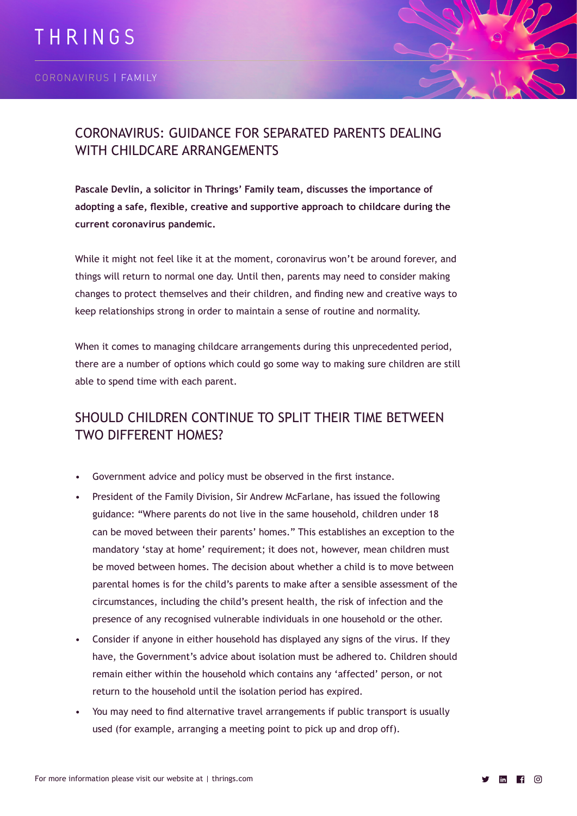

# CORONAVIRUS: GUIDANCE FOR SEPARATED PARENTS DEALING WITH CHILDCARE ARRANGEMENTS

**Pascale Devlin, a solicitor in Thrings' Family team, discusses the importance of adopting a safe, flexible, creative and supportive approach to childcare during the current coronavirus pandemic.**

While it might not feel like it at the moment, coronavirus won't be around forever, and things will return to normal one day. Until then, parents may need to consider making changes to protect themselves and their children, and finding new and creative ways to keep relationships strong in order to maintain a sense of routine and normality.

When it comes to managing childcare arrangements during this unprecedented period, there are a number of options which could go some way to making sure children are still able to spend time with each parent.

# SHOULD CHILDREN CONTINUE TO SPLIT THEIR TIME BETWEEN TWO DIFFERENT HOMES?

- Government advice and policy must be observed in the first instance.
- President of the Family Division, Sir Andrew McFarlane, has issued the following guidance: "Where parents do not live in the same household, children under 18 can be moved between their parents' homes." This establishes an exception to the mandatory 'stay at home' requirement; it does not, however, mean children must be moved between homes. The decision about whether a child is to move between parental homes is for the child's parents to make after a sensible assessment of the circumstances, including the child's present health, the risk of infection and the presence of any recognised vulnerable individuals in one household or the other.
- Consider if anyone in either household has displayed any signs of the virus. If they have, the Government's advice about isolation must be adhered to. Children should remain either within the household which contains any 'affected' person, or not return to the household until the isolation period has expired.
- You may need to find alternative travel arrangements if public transport is usually used (for example, arranging a meeting point to pick up and drop off).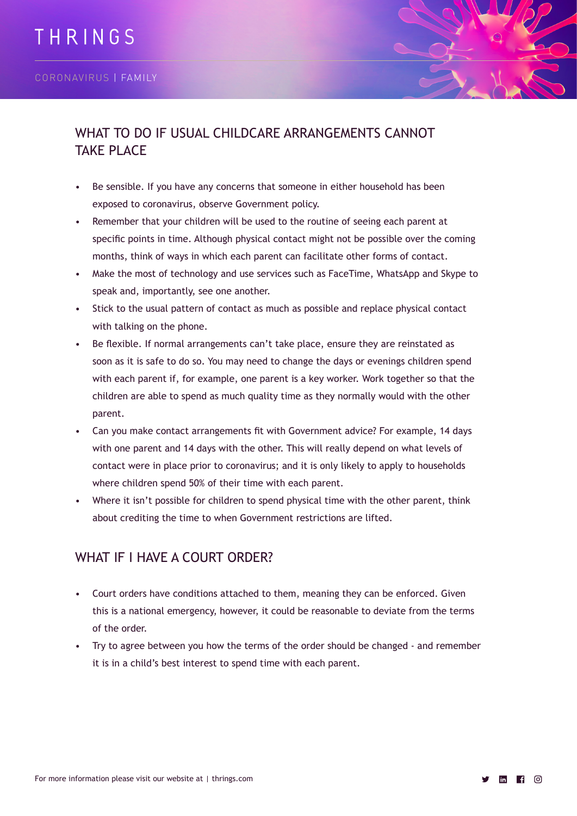

## WHAT TO DO IF USUAL CHILDCARE ARRANGEMENTS CANNOT TAKE PLACE

- Be sensible. If you have any concerns that someone in either household has been exposed to coronavirus, observe Government policy.
- Remember that your children will be used to the routine of seeing each parent at specific points in time. Although physical contact might not be possible over the coming months, think of ways in which each parent can facilitate other forms of contact.
- Make the most of technology and use services such as FaceTime, WhatsApp and Skype to speak and, importantly, see one another.
- Stick to the usual pattern of contact as much as possible and replace physical contact with talking on the phone.
- Be flexible. If normal arrangements can't take place, ensure they are reinstated as soon as it is safe to do so. You may need to change the days or evenings children spend with each parent if, for example, one parent is a key worker. Work together so that the children are able to spend as much quality time as they normally would with the other parent.
- Can you make contact arrangements fit with Government advice? For example, 14 days with one parent and 14 days with the other. This will really depend on what levels of contact were in place prior to coronavirus; and it is only likely to apply to households where children spend 50% of their time with each parent.
- Where it isn't possible for children to spend physical time with the other parent, think about crediting the time to when Government restrictions are lifted.

#### WHAT IF I HAVE A COURT ORDER?

- Court orders have conditions attached to them, meaning they can be enforced. Given this is a national emergency, however, it could be reasonable to deviate from the terms of the order.
- Try to agree between you how the terms of the order should be changed and remember it is in a child's best interest to spend time with each parent.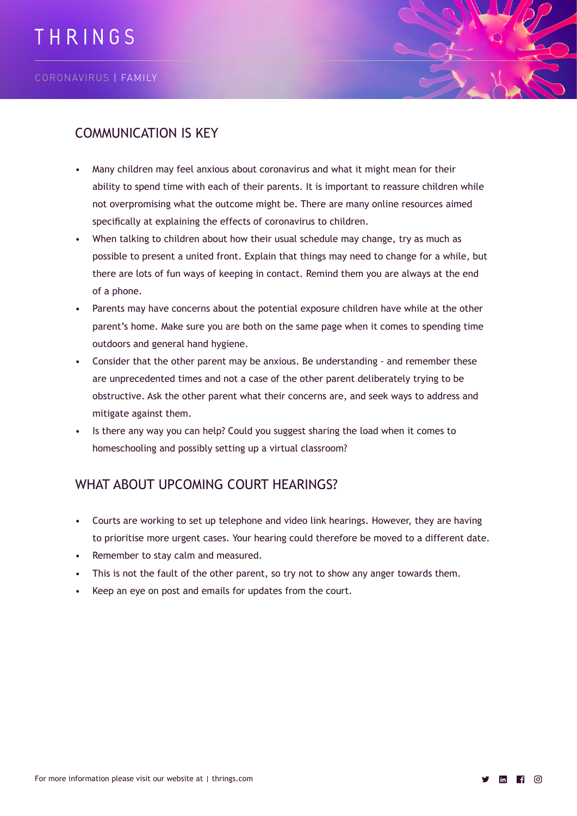

#### COMMUNICATION IS KEY

- Many children may feel anxious about coronavirus and what it might mean for their ability to spend time with each of their parents. It is important to reassure children while not overpromising what the outcome might be. There are many online resources aimed specifically at explaining the effects of coronavirus to children.
- When talking to children about how their usual schedule may change, try as much as possible to present a united front. Explain that things may need to change for a while, but there are lots of fun ways of keeping in contact. Remind them you are always at the end of a phone.
- Parents may have concerns about the potential exposure children have while at the other parent's home. Make sure you are both on the same page when it comes to spending time outdoors and general hand hygiene.
- Consider that the other parent may be anxious. Be understanding and remember these are unprecedented times and not a case of the other parent deliberately trying to be obstructive. Ask the other parent what their concerns are, and seek ways to address and mitigate against them.
- Is there any way you can help? Could you suggest sharing the load when it comes to homeschooling and possibly setting up a virtual classroom?

# WHAT ABOUT UPCOMING COURT HEARINGS?

- Courts are working to set up telephone and video link hearings. However, they are having to prioritise more urgent cases. Your hearing could therefore be moved to a different date.
- Remember to stay calm and measured.
- This is not the fault of the other parent, so try not to show any anger towards them.
- Keep an eye on post and emails for updates from the court.